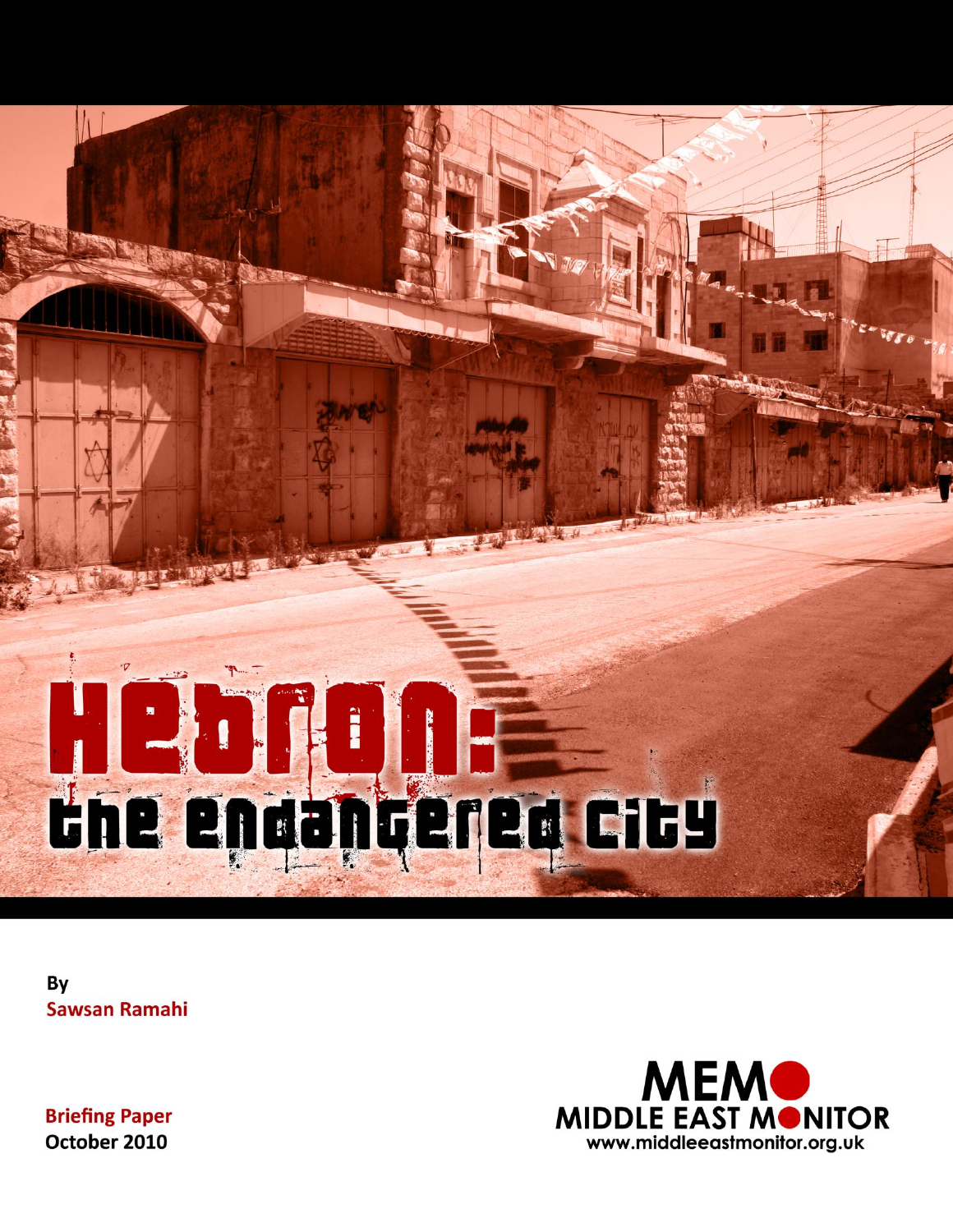

By **Sawsan Ramahi** 



**Briefing Paper** October 2010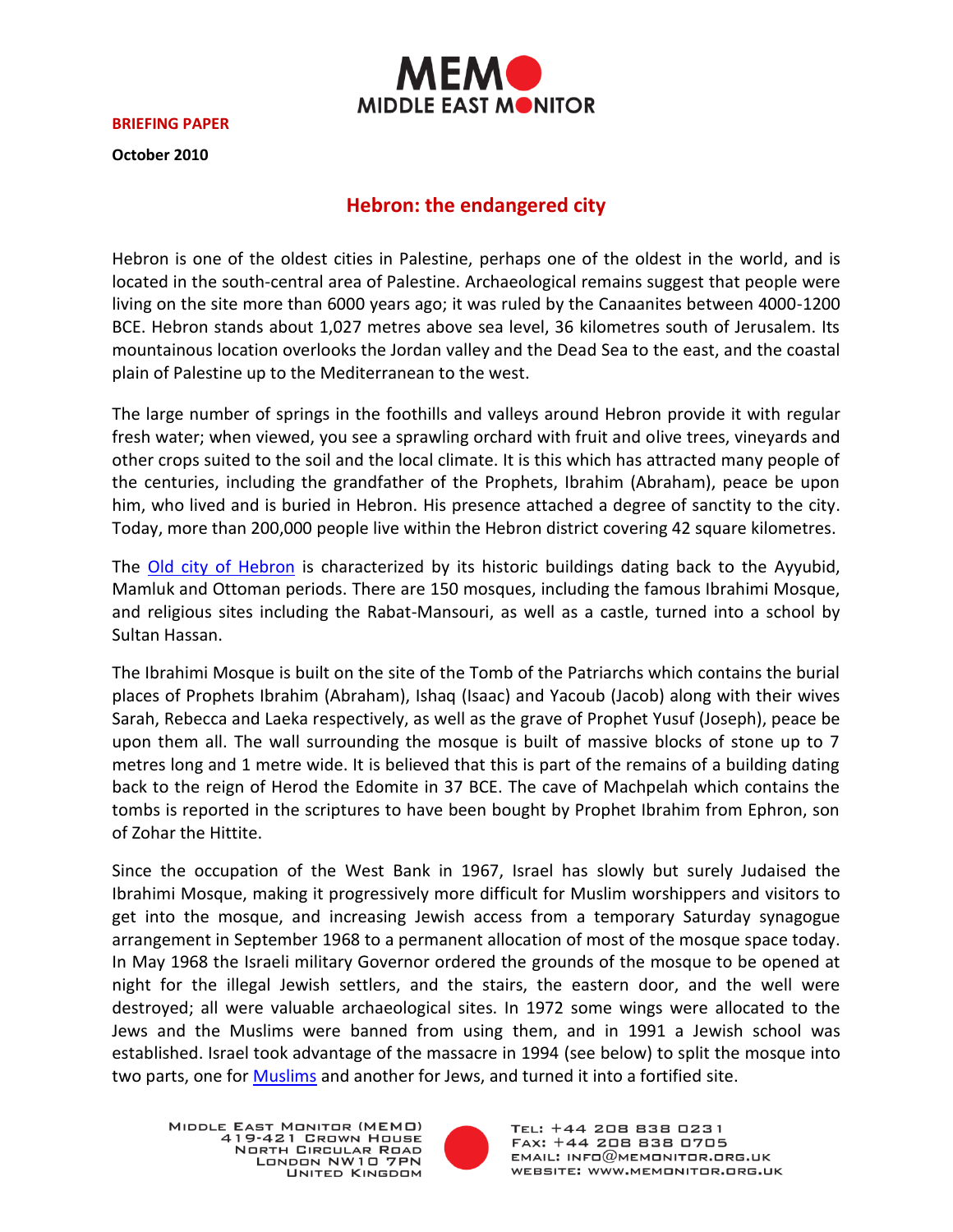

**BRIEFING PAPER**

**October 2010**

# **Hebron: the endangered city**

Hebron is one of the oldest cities in Palestine, perhaps one of the oldest in the world, and is located in the south-central area of Palestine. Archaeological remains suggest that people were living on the site more than 6000 years ago; it was ruled by the Canaanites between 4000-1200 BCE. Hebron stands about 1,027 metres above sea level, 36 kilometres south of Jerusalem. Its mountainous location overlooks the Jordan valley and the Dead Sea to the east, and the coastal plain of Palestine up to the Mediterranean to the west.

The large number of springs in the foothills and valleys around Hebron provide it with regular fresh water; when viewed, you see a sprawling orchard with fruit and olive trees, vineyards and other crops suited to the soil and the local climate. It is this which has attracted many people of the centuries, including the grandfather of the Prophets, Ibrahim (Abraham), peace be upon him, who lived and is buried in Hebron. His presence attached a degree of sanctity to the city. Today, more than 200,000 people live within the Hebron district covering 42 square kilometres.

The [Old city of Hebron](http://www.hebron-city.ps/atemplate.php?id=15) is characterized by its historic buildings dating back to the Ayyubid, Mamluk and Ottoman periods. There are 150 mosques, including the famous Ibrahimi Mosque, and religious sites including the Rabat-Mansouri, as well as a castle, turned into a school by Sultan Hassan.

The Ibrahimi Mosque is built on the site of the Tomb of the Patriarchs which contains the burial places of Prophets Ibrahim (Abraham), Ishaq (Isaac) and Yacoub (Jacob) along with their wives Sarah, Rebecca and Laeka respectively, as well as the grave of Prophet Yusuf (Joseph), peace be upon them all. The wall surrounding the mosque is built of massive blocks of stone up to 7 metres long and 1 metre wide. It is believed that this is part of the remains of a building dating back to the reign of Herod the Edomite in 37 BCE. The cave of Machpelah which contains the tombs is reported in the scriptures to have been bought by Prophet Ibrahim from Ephron, son of Zohar the Hittite.

Since the occupation of the West Bank in 1967, Israel has slowly but surely Judaised the Ibrahimi Mosque, making it progressively more difficult for Muslim worshippers and visitors to get into the mosque, and increasing Jewish access from a temporary Saturday synagogue arrangement in September 1968 to a permanent allocation of most of the mosque space today. In May 1968 the Israeli military Governor ordered the grounds of the mosque to be opened at night for the illegal Jewish settlers, and the stairs, the eastern door, and the well were destroyed; all were valuable archaeological sites. In 1972 some wings were allocated to the Jews and the Muslims were banned from using them, and in 1991 a Jewish school was established. Israel took advantage of the massacre in 1994 (see below) to split the mosque into two parts, one for **Muslims** and another for Jews, and turned it into a fortified site.

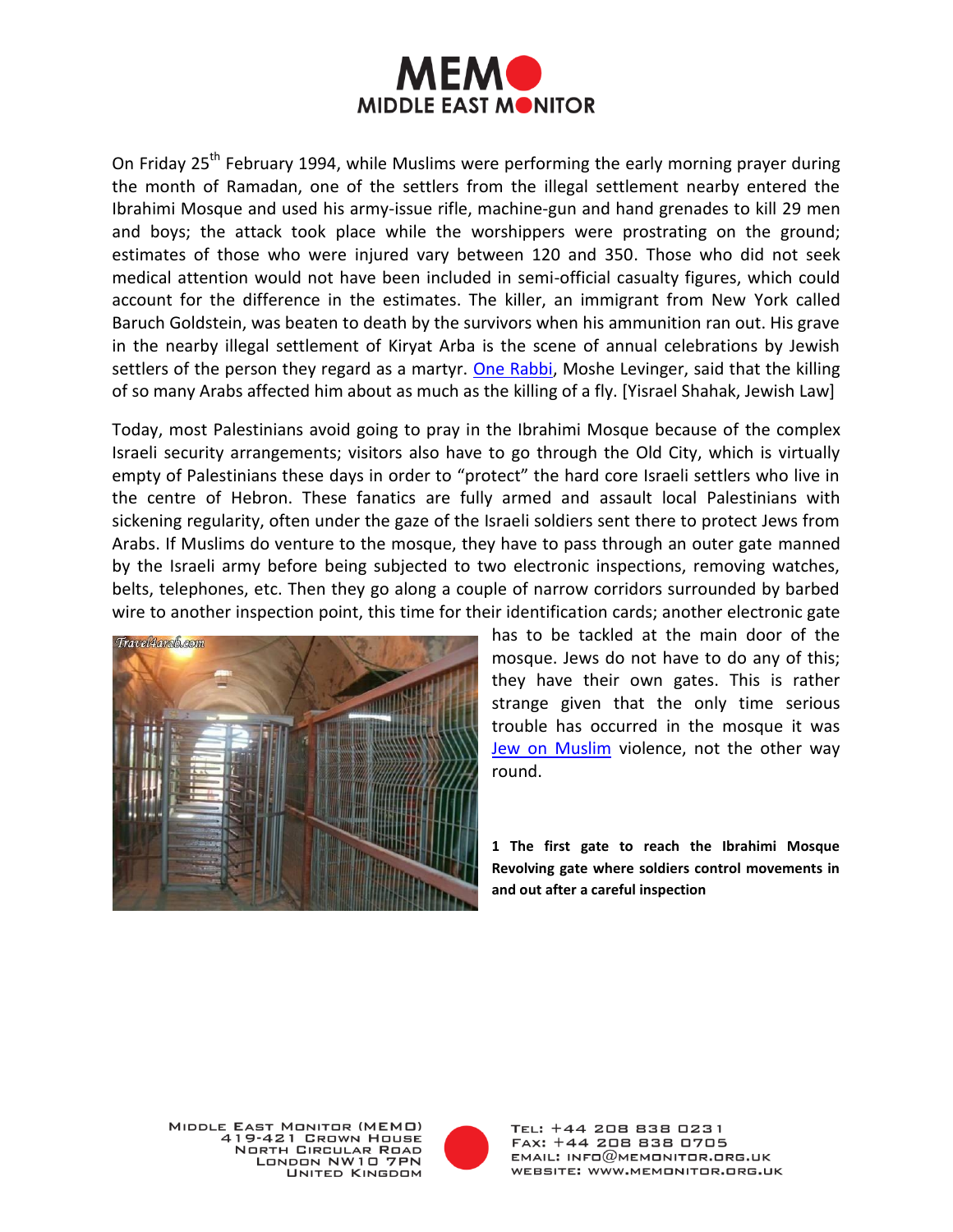

On Friday 25<sup>th</sup> February 1994, while Muslims were performing the early morning prayer during the month of Ramadan, one of the settlers from the illegal settlement nearby entered the Ibrahimi Mosque and used his army-issue rifle, machine-gun and hand grenades to kill 29 men and boys; the attack took place while the worshippers were prostrating on the ground; estimates of those who were injured vary between 120 and 350. Those who did not seek medical attention would not have been included in semi-official casualty figures, which could account for the difference in the estimates. The killer, an immigrant from New York called Baruch Goldstein, was beaten to death by the survivors when his ammunition ran out. His grave in the nearby illegal settlement of Kiryat Arba is the scene of annual celebrations by Jewish settlers of the person they regard as a martyr. [One Rabbi,](http://travel.maktoob.com/vb/travel364204/) Moshe Levinger, said that the killing of so many Arabs affected him about as much as the killing of a fly. [Yisrael Shahak, Jewish Law]

Today, most Palestinians avoid going to pray in the Ibrahimi Mosque because of the complex Israeli security arrangements; visitors also have to go through the Old City, which is virtually empty of Palestinians these days in order to "protect" the hard core Israeli settlers who live in the centre of Hebron. These fanatics are fully armed and assault local Palestinians with sickening regularity, often under the gaze of the Israeli soldiers sent there to protect Jews from Arabs. If Muslims do venture to the mosque, they have to pass through an outer gate manned by the Israeli army before being subjected to two electronic inspections, removing watches, belts, telephones, etc. Then they go along a couple of narrow corridors surrounded by barbed wire to another inspection point, this time for their identification cards; another electronic gate



has to be tackled at the main door of the mosque. Jews do not have to do any of this; they have their own gates. This is rather strange given that the only time serious trouble has occurred in the mosque it was [Jew on Muslim](http://www.aawsat.com/details.asp?section=4&article=558831&issueno=11413) violence, not the other way round.

**1 The first gate to reach the Ibrahimi Mosque Revolving gate where soldiers control movements in and out after a careful inspection**



TEL: +44 208 838 0231 FAX: +44 208 838 0705  $EMAIL: INFO@MEMONITOR,ORG. UK$ WEBSITE: WWW.MEMONITOR.ORG.UK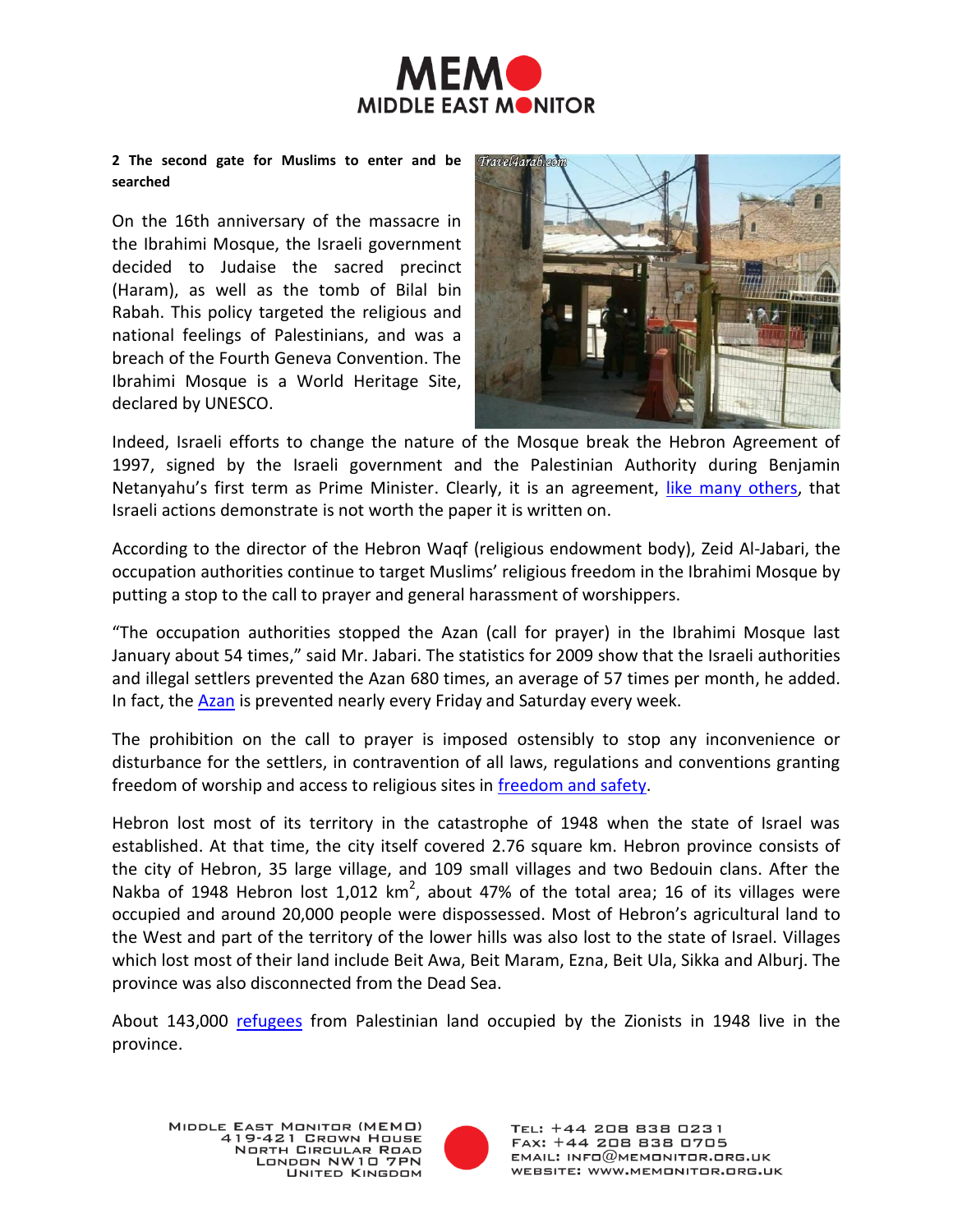

#### **2 The second gate for Muslims to enter and be searched**

On the 16th anniversary of the massacre in the Ibrahimi Mosque, the Israeli government decided to Judaise the sacred precinct (Haram), as well as the tomb of Bilal bin Rabah. This policy targeted the religious and national feelings of Palestinians, and was a breach of the Fourth Geneva Convention. The Ibrahimi Mosque is a World Heritage Site, declared by UNESCO.



Indeed, Israeli efforts to change the nature of the Mosque break the Hebron Agreement of 1997, signed by the Israeli government and the Palestinian Authority during Benjamin Netanyahu's first term as Prime Minister. Clearly, it is an agreement, [like many others,](http://thawra.alwehda.gov.sy/_print_veiw.asp?FileName=37967287220100301205001) that Israeli actions demonstrate is not worth the paper it is written on.

According to the director of the Hebron Waqf (religious endowment body), Zeid Al-Jabari, the occupation authorities continue to target Muslims' religious freedom in the Ibrahimi Mosque by putting a stop to the call to prayer and general harassment of worshippers.

"The occupation authorities stopped the Azan (call for prayer) in the Ibrahimi Mosque last January about 54 times," said Mr. Jabari. The statistics for 2009 show that the Israeli authorities and illegal settlers prevented the Azan 680 times, an average of 57 times per month, he added. In fact, the **Azan** is prevented nearly every Friday and Saturday every week.

The prohibition on the call to prayer is imposed ostensibly to stop any inconvenience or disturbance for the settlers, in contravention of all laws, regulations and conventions granting freedom of worship and access to religious sites in [freedom and safety.](http://www.palestine-info.info/ar/default.aspx?xyz=U6Qq7k%2bcOd87MDI46m9rUxJEpMO%2bi1s7M3nSDSyz%2b%2f5TQB1eiwRUb3JGVY5j5Tic%2bS%2fFcP62ofqgdkXs5MO8YJc2%2fy1BSoPxsWFRe4dv1GEnONjLLEmaKge7ejX8Vjn2bgv8PocnfSU%3d)

Hebron lost most of its territory in the catastrophe of 1948 when the state of Israel was established. At that time, the city itself covered 2.76 square km. Hebron province consists of the city of Hebron, 35 large village, and 109 small villages and two Bedouin clans. After the Nakba of 1948 Hebron lost 1,012  $km^2$ , about 47% of the total area; 16 of its villages were occupied and around 20,000 people were dispossessed. Most of Hebron's agricultural land to the West and part of the territory of the lower hills was also lost to the state of Israel. Villages which lost most of their land include Beit Awa, Beit Maram, Ezna, Beit Ula, Sikka and Alburj. The province was also disconnected from the Dead Sea.

About 143,000 [refugees](http://www.malaf.info/?page=ShowDetails&Id=5626&table=p_newsp&CatId=6) from Palestinian land occupied by the Zionists in 1948 live in the province.

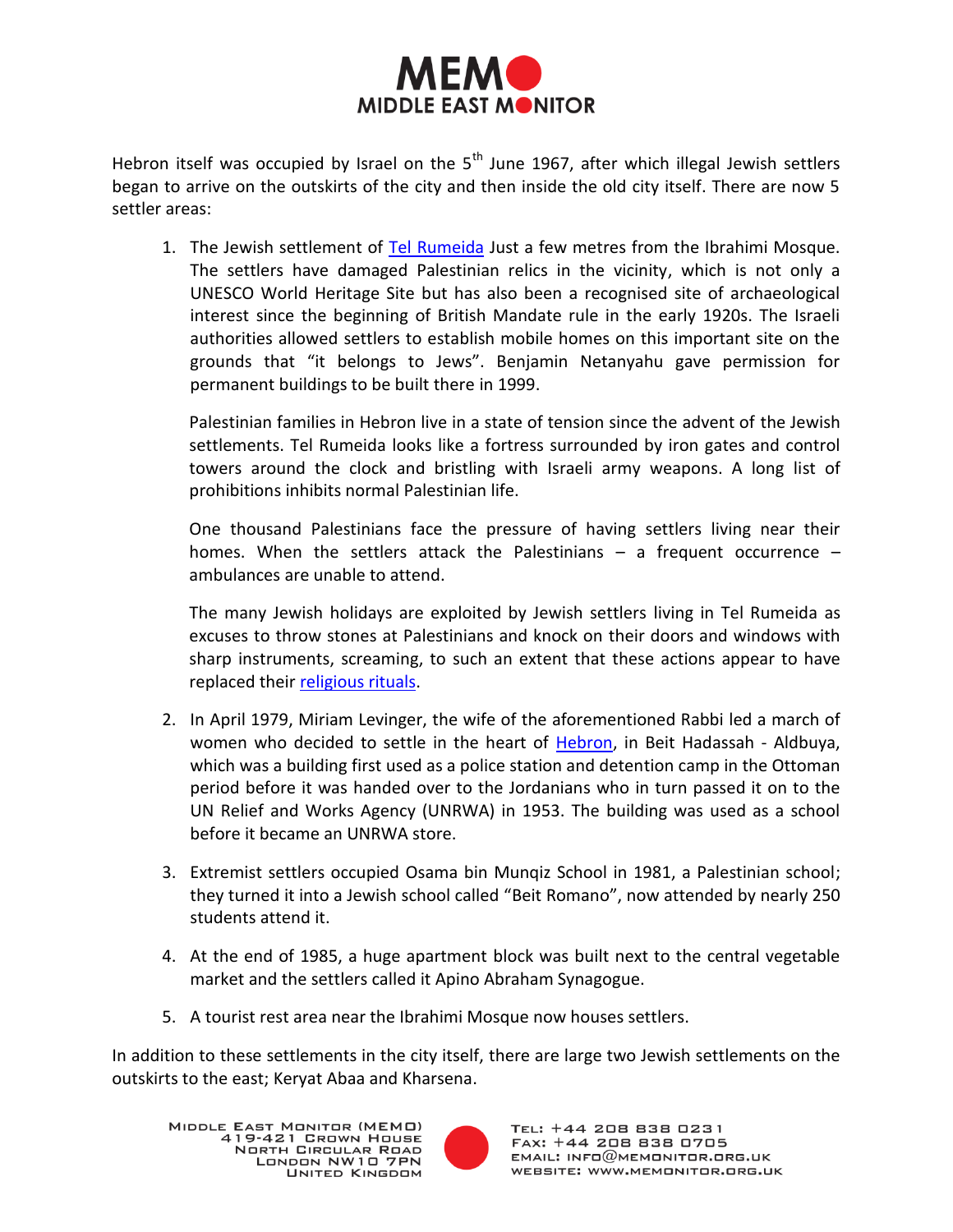

Hebron itself was occupied by Israel on the  $5<sup>th</sup>$  June 1967, after which illegal Jewish settlers began to arrive on the outskirts of the city and then inside the old city itself. There are now 5 settler areas:

1. The Jewish settlement of [Tel Rumeida](http://www.aljazeera.net/NR/exeres/25D2B345-4B62-44D6-B70E-5D2C12377928) Just a few metres from the Ibrahimi Mosque. The settlers have damaged Palestinian relics in the vicinity, which is not only a UNESCO World Heritage Site but has also been a recognised site of archaeological interest since the beginning of British Mandate rule in the early 1920s. The Israeli authorities allowed settlers to establish mobile homes on this important site on the grounds that "it belongs to Jews". Benjamin Netanyahu gave permission for permanent buildings to be built there in 1999.

Palestinian families in Hebron live in a state of tension since the advent of the Jewish settlements. Tel Rumeida looks like a fortress surrounded by iron gates and control towers around the clock and bristling with Israeli army weapons. A long list of prohibitions inhibits normal Palestinian life.

One thousand Palestinians face the pressure of having settlers living near their homes. When the settlers attack the Palestinians  $-$  a frequent occurrence  $$ ambulances are unable to attend.

The many Jewish holidays are exploited by Jewish settlers living in Tel Rumeida as excuses to throw stones at Palestinians and knock on their doors and windows with sharp instruments, screaming, to such an extent that these actions appear to have replaced thei[r religious rituals.](http://www.malaf.info/?page=ShowDetails&Id=16090&table=pa_documents&CatId=)

- 2. In April 1979, Miriam Levinger, the wife of the aforementioned Rabbi led a march of women who decided to settle in the heart of [Hebron,](http://www.alwasatnews.com/183/news/read/199037/1.html) in Beit Hadassah - Aldbuya, which was a building first used as a police station and detention camp in the Ottoman period before it was handed over to the Jordanians who in turn passed it on to the UN Relief and Works Agency (UNRWA) in 1953. The building was used as a school before it became an UNRWA store.
- 3. Extremist settlers occupied Osama bin Munqiz School in 1981, a Palestinian school; they turned it into a Jewish school called "Beit Romano", now attended by nearly 250 students attend it.
- 4. At the end of 1985, a huge apartment block was built next to the central vegetable market and the settlers called it Apino Abraham Synagogue.
- 5. A tourist rest area near the Ibrahimi Mosque now houses settlers.

In addition to these settlements in the city itself, there are large two Jewish settlements on the outskirts to the east; Keryat Abaa and Kharsena.

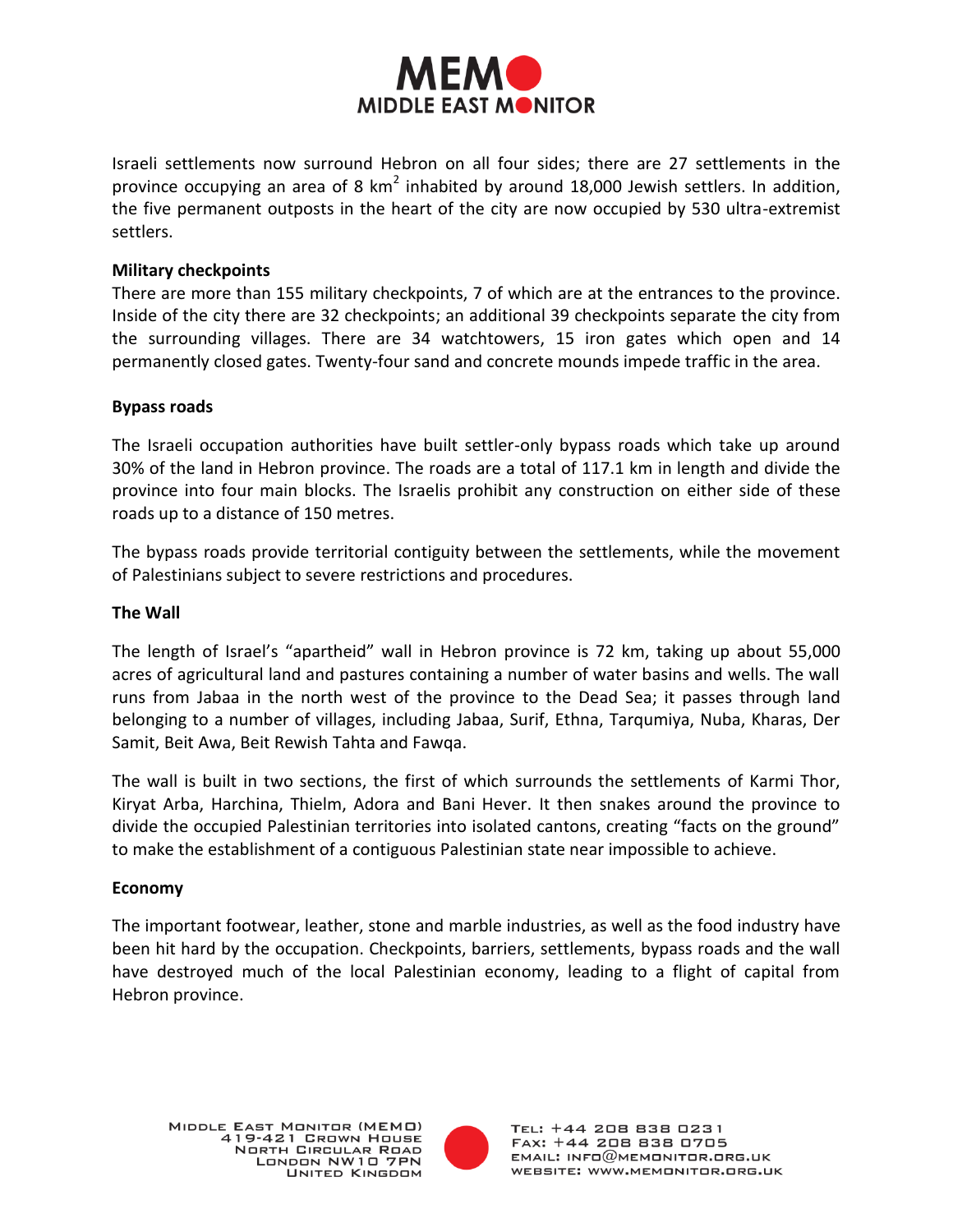

Israeli settlements now surround Hebron on all four sides; there are 27 settlements in the province occupying an area of 8 km<sup>2</sup> inhabited by around 18,000 Jewish settlers. In addition, the five permanent outposts in the heart of the city are now occupied by 530 ultra-extremist settlers.

# **Military checkpoints**

There are more than 155 military checkpoints, 7 of which are at the entrances to the province. Inside of the city there are 32 checkpoints; an additional 39 checkpoints separate the city from the surrounding villages. There are 34 watchtowers, 15 iron gates which open and 14 permanently closed gates. Twenty-four sand and concrete mounds impede traffic in the area.

## **Bypass roads**

The Israeli occupation authorities have built settler-only bypass roads which take up around 30% of the land in Hebron province. The roads are a total of 117.1 km in length and divide the province into four main blocks. The Israelis prohibit any construction on either side of these roads up to a distance of 150 metres.

The bypass roads provide territorial contiguity between the settlements, while the movement of Palestinians subject to severe restrictions and procedures.

## **The Wall**

The length of Israel's "apartheid" wall in Hebron province is 72 km, taking up about 55,000 acres of agricultural land and pastures containing a number of water basins and wells. The wall runs from Jabaa in the north west of the province to the Dead Sea; it passes through land belonging to a number of villages, including Jabaa, Surif, Ethna, Tarqumiya, Nuba, Kharas, Der Samit, Beit Awa, Beit Rewish Tahta and Fawqa.

The wall is built in two sections, the first of which surrounds the settlements of Karmi Thor, Kiryat Arba, Harchina, Thielm, Adora and Bani Hever. It then snakes around the province to divide the occupied Palestinian territories into isolated cantons, creating "facts on the ground" to make the establishment of a contiguous Palestinian state near impossible to achieve.

#### **Economy**

The important footwear, leather, stone and marble industries, as well as the food industry have been hit hard by the occupation. Checkpoints, barriers, settlements, bypass roads and the wall have destroyed much of the local Palestinian economy, leading to a flight of capital from Hebron province.

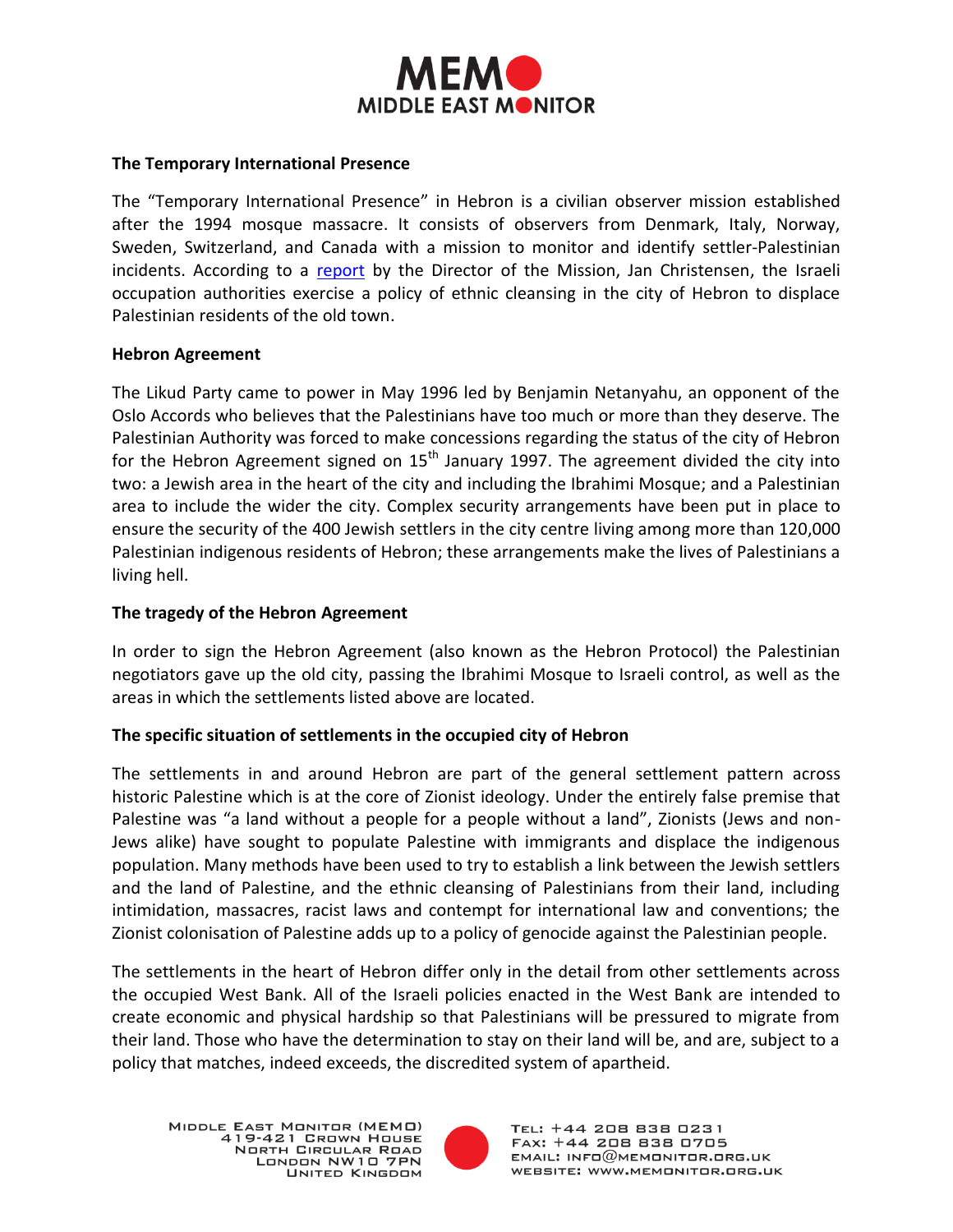

## **The Temporary International Presence**

The "Temporary International Presence" in Hebron is a civilian observer mission established after the 1994 mosque massacre. It consists of observers from Denmark, Italy, Norway, Sweden, Switzerland, and Canada with a mission to monitor and identify settler-Palestinian incidents. According to a [report](http://www.malaf.info/?page=ShowDetails&Id=5626&table=p_newsp&CatId=6) by the Director of the Mission, Jan Christensen, the Israeli occupation authorities exercise a policy of ethnic cleansing in the city of Hebron to displace Palestinian residents of the old town.

## **Hebron Agreement**

The Likud Party came to power in May 1996 led by Benjamin Netanyahu, an opponent of the Oslo Accords who believes that the Palestinians have too much or more than they deserve. The Palestinian Authority was forced to make concessions regarding the status of the city of Hebron for the Hebron Agreement signed on  $15<sup>th</sup>$  January 1997. The agreement divided the city into two: a Jewish area in the heart of the city and including the Ibrahimi Mosque; and a Palestinian area to include the wider the city. Complex security arrangements have been put in place to ensure the security of the 400 Jewish settlers in the city centre living among more than 120,000 Palestinian indigenous residents of Hebron; these arrangements make the lives of Palestinians a living hell.

# **The tragedy of the Hebron Agreement**

In order to sign the Hebron Agreement (also known as the Hebron Protocol) the Palestinian negotiators gave up the old city, passing the Ibrahimi Mosque to Israeli control, as well as the areas in which the settlements listed above are located.

# **The specific situation of settlements in the occupied city of Hebron**

The settlements in and around Hebron are part of the general settlement pattern across historic Palestine which is at the core of Zionist ideology. Under the entirely false premise that Palestine was "a land without a people for a people without a land", Zionists (Jews and non-Jews alike) have sought to populate Palestine with immigrants and displace the indigenous population. Many methods have been used to try to establish a link between the Jewish settlers and the land of Palestine, and the ethnic cleansing of Palestinians from their land, including intimidation, massacres, racist laws and contempt for international law and conventions; the Zionist colonisation of Palestine adds up to a policy of genocide against the Palestinian people.

The settlements in the heart of Hebron differ only in the detail from other settlements across the occupied West Bank. All of the Israeli policies enacted in the West Bank are intended to create economic and physical hardship so that Palestinians will be pressured to migrate from their land. Those who have the determination to stay on their land will be, and are, subject to a policy that matches, indeed exceeds, the discredited system of apartheid.